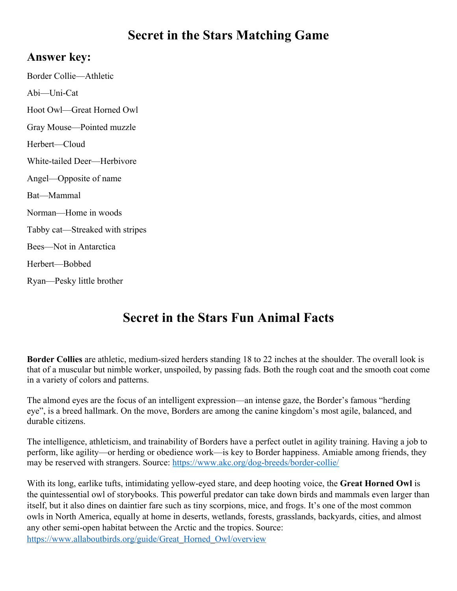## **Secret in the Stars Matching Game**

## **Answer key:**

Border Collie—Athletic Abi—Uni-Cat Hoot Owl—Great Horned Owl Gray Mouse—Pointed muzzle Herbert—Cloud White-tailed Deer—Herbivore Angel—Opposite of name Bat—Mammal Norman—Home in woods Tabby cat—Streaked with stripes Bees—Not in Antarctica Herbert—Bobbed Ryan—Pesky little brother

## **Secret in the Stars Fun Animal Facts**

**Border Collies** are athletic, medium-sized herders standing 18 to 22 inches at the shoulder. The overall look is that of a muscular but nimble worker, unspoiled, by passing fads. Both the rough coat and the smooth coat come in a variety of colors and patterns.

The almond eyes are the focus of an intelligent expression—an intense gaze, the Border's famous "herding eye", is a breed hallmark. On the move, Borders are among the canine kingdom's most agile, balanced, and durable citizens.

The intelligence, athleticism, and trainability of Borders have a perfect outlet in agility training. Having a job to perform, like agility—or herding or obedience work—is key to Border happiness. Amiable among friends, they may be reserved with strangers. Source: https://www.akc.org/dog-breeds/border-collie/

With its long, earlike tufts, intimidating yellow-eyed stare, and deep hooting voice, the **Great Horned Owl** is the quintessential owl of storybooks. This powerful predator can take down birds and mammals even larger than itself, but it also dines on daintier fare such as tiny scorpions, mice, and frogs. It's one of the most common owls in North America, equally at home in deserts, wetlands, forests, grasslands, backyards, cities, and almost any other semi-open habitat between the Arctic and the tropics. Source: https://www.allaboutbirds.org/guide/Great\_Horned\_Owl/overview